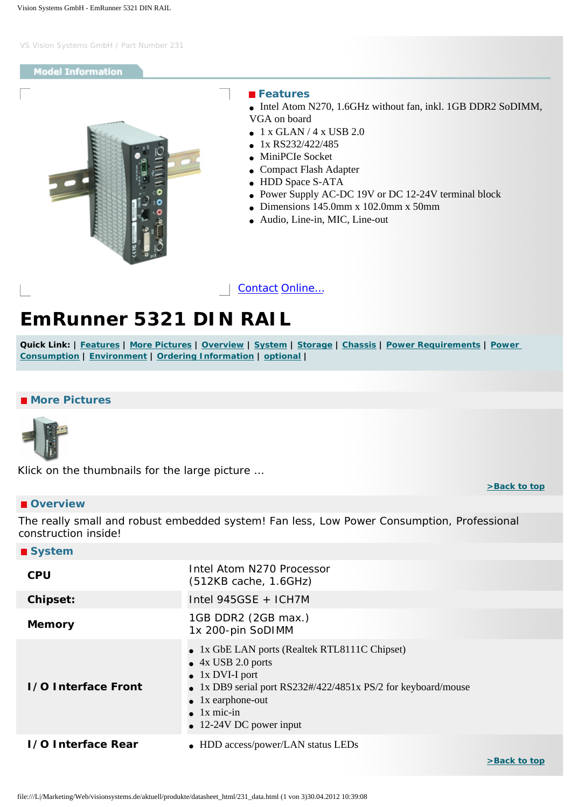#### <span id="page-0-4"></span>**Model Information**

<span id="page-0-0"></span>

#### **Features**

• Intel Atom N270, 1.6GHz without fan, inkl. 1GB DDR2 SoDIMM, VGA on board

- $\bullet$  1 x GLAN / 4 x USB 2.0
- 1x RS232/422/485
- MiniPCIe Socket
- Compact Flash Adapter
- HDD Space S-ATA
- Power Supply AC-DC 19V or DC 12-24V terminal block
- Dimensions  $145.0$ mm x  $102.0$ mm x  $50$ mm
- Audio, Line-in, MIC, Line-out

[Contact](http://www.visionsystems.de/contactus.htm) [Online…](http://www.visionsystems.de/produkte/231.html)

# **EmRunner 5321 DIN RAIL**

**Quick Link: | [Features](#page-0-0) | [More Pictures](#page-0-1) | [Overview](#page-0-2) | [System](#page-0-3) | [Storage](#page-1-0) | [Chassis](#page-1-1) | [Power Requirements](#page-1-2) | [Power](#page-1-3)  [Consumption](#page-1-3) | [Environment](#page-1-4) | [Ordering Information](#page-1-5) | [optional](#page-1-6) |**

### <span id="page-0-1"></span> **More Pictures**



Klick on the thumbnails for the large picture …

#### <span id="page-0-2"></span> **Overview**

 **System**

The really small and robust embedded system! Fan less, Low Power Consumption, Professional construction inside!

<span id="page-0-3"></span>

| $\blacksquare$ system      |                                                                                                                                                                                                                                                                |
|----------------------------|----------------------------------------------------------------------------------------------------------------------------------------------------------------------------------------------------------------------------------------------------------------|
| <b>CPU</b>                 | Intel Atom N270 Processor<br>(512KB cache, 1.6GHz)                                                                                                                                                                                                             |
| <b>Chipset:</b>            | Intel 945GSE + ICH7M                                                                                                                                                                                                                                           |
| <b>Memory</b>              | 1GB DDR2 (2GB max.)<br>1x 200-pin SoDIMM                                                                                                                                                                                                                       |
| <b>I/O Interface Front</b> | • 1x GbE LAN ports (Realtek RTL8111C Chipset)<br>$\bullet$ 4x USB 2.0 ports<br>$\bullet$ 1x DVI-I port<br>• 1x DB9 serial port RS232#/422/4851x PS/2 for keyboard/mouse<br>$\bullet$ 1x earphone-out<br>$\bullet$ 1x mic-in<br>$\bullet$ 12-24V DC power input |
| 1/0 Interface Rear         | • HDD access/power/LAN status LEDs                                                                                                                                                                                                                             |

**[>Back to top](#page-0-4)**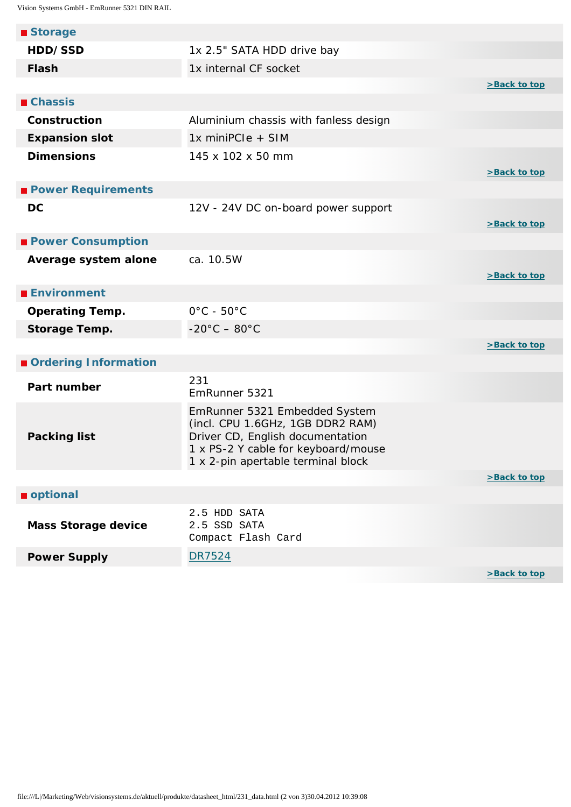<span id="page-1-6"></span><span id="page-1-5"></span><span id="page-1-4"></span><span id="page-1-3"></span><span id="page-1-2"></span><span id="page-1-1"></span><span id="page-1-0"></span>

| ■ Storage                  |                                                                                                                                                                                    |              |
|----------------------------|------------------------------------------------------------------------------------------------------------------------------------------------------------------------------------|--------------|
| HDD/SSD                    | 1x 2.5" SATA HDD drive bay                                                                                                                                                         |              |
| <b>Flash</b>               | 1x internal CF socket                                                                                                                                                              |              |
|                            |                                                                                                                                                                                    | >Back to top |
| <b>■ Chassis</b>           |                                                                                                                                                                                    |              |
| Construction               | Aluminium chassis with fanless design                                                                                                                                              |              |
| <b>Expansion slot</b>      | 1x miniPCIe + SIM                                                                                                                                                                  |              |
| <b>Dimensions</b>          | 145 x 102 x 50 mm                                                                                                                                                                  | >Back to top |
| <b>Power Requirements</b>  |                                                                                                                                                                                    |              |
| <b>DC</b>                  | 12V - 24V DC on-board power support                                                                                                                                                | >Back to top |
| <b>Power Consumption</b>   |                                                                                                                                                                                    |              |
| Average system alone       | ca. 10.5W                                                                                                                                                                          | >Back to top |
| <b>Environment</b>         |                                                                                                                                                                                    |              |
| <b>Operating Temp.</b>     | $0^{\circ}$ C - 50 $^{\circ}$ C                                                                                                                                                    |              |
| Storage Temp.              | $-20^{\circ}$ C $-80^{\circ}$ C                                                                                                                                                    |              |
|                            |                                                                                                                                                                                    | >Back to top |
| Ordering Information       |                                                                                                                                                                                    |              |
| Part number                | 231<br>EmRunner 5321                                                                                                                                                               |              |
| <b>Packing list</b>        | EmRunner 5321 Embedded System<br>(incl. CPU 1.6GHz, 1GB DDR2 RAM)<br>Driver CD, English documentation<br>1 x PS-2 Y cable for keyboard/mouse<br>1 x 2-pin apertable terminal block |              |
|                            |                                                                                                                                                                                    | >Back to top |
| optional                   |                                                                                                                                                                                    |              |
| <b>Mass Storage device</b> | 2.5 HDD SATA<br>2.5 SSD SATA<br>Compact Flash Card                                                                                                                                 |              |
| <b>Power Supply</b>        | <b>DR7524</b>                                                                                                                                                                      |              |
|                            |                                                                                                                                                                                    | >Back to top |